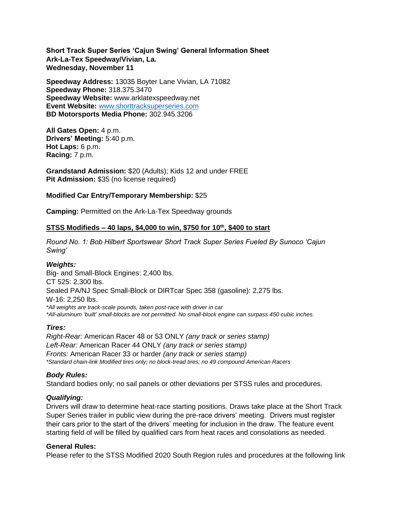**Short Track Super Series 'Cajun Swing' General Information Sheet Ark-La-Tex Speedway/Vivian, La. Wednesday, November 11**

**Speedway Address:** 13035 Boyter Lane Vivian, LA 71082 **Speedway Phone:** 318.375.3470 **Speedway Website:** www.arklatexspeedway.net **Event Website:** [www.shorttracksuperseries.com](http://www.shorttracksuperseries.com/) **BD Motorsports Media Phone:** 302.945.3206

**All Gates Open:** 4 p.m. **Drivers' Meeting:** 5:40 p.m. **Hot Laps:** 6 p.m. **Racing:** 7 p.m.

**Grandstand Admission:** \$20 (Adults); Kids 12 and under FREE **Pit Admission:** \$35 (no license required)

# **Modified Car Entry/Temporary Membership:** \$25

**Camping:** Permitted on the Ark-La-Tex Speedway grounds

### **STSS Modifieds – 40 laps, \$4,000 to win, \$750 for 10th , \$400 to start**

*Round No. 1: Bob Hilbert Sportswear Short Track Super Series Fueled By Sunoco 'Cajun Swing'*

#### *Weights:*

Big- and Small-Block Engines: 2,400 lbs. CT 525: 2,300 lbs. Sealed PA/NJ Spec Small-Block or DIRTcar Spec 358 (gasoline): 2,275 lbs. W-16: 2,250 lbs. *\*All weights are track-scale pounds, taken post-race with driver in car \*All-aluminum 'built' small-blocks are not permitted. No small-block engine can surpass 450 cubic inches.* 

# *Tires:*

*Right-Rear:* American Racer 48 or 53 ONLY *(any track or series stamp) Left-Rear:* American Racer 44 ONLY *(any track or series stamp) Fronts:* American Racer 33 or harder *(any track or series stamp) \*Standard chain-link Modified tires only; no block-tread tires; no 49 compound American Racers*

#### *Body Rules:*

Standard bodies only; no sail panels or other deviations per STSS rules and procedures.

#### *Qualifying:*

Drivers will draw to determine heat-race starting positions. Draws take place at the Short Track Super Series trailer in public view during the pre-race drivers' meeting. Drivers must register their cars prior to the start of the drivers' meeting for inclusion in the draw. The feature event starting field of will be filled by qualified cars from heat races and consolations as needed.

#### **General Rules:**

Please refer to the STSS Modified 2020 South Region rules and procedures at the following link